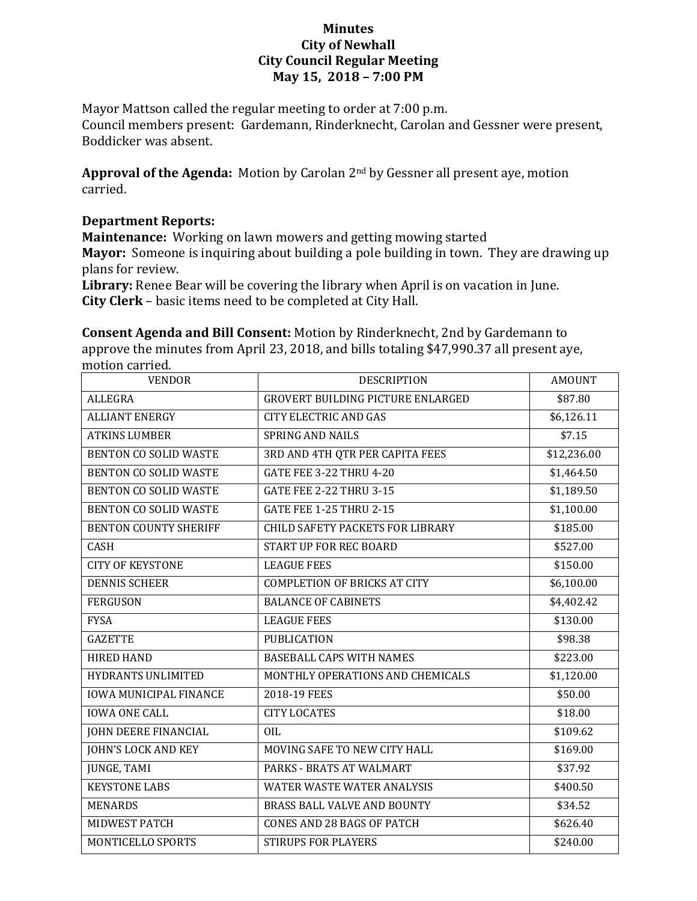## **Minutes City of Newhall City Council Regular Meeting May 15, 2018 – 7:00 PM**

Mayor Mattson called the regular meeting to order at 7:00 p.m. Council members present: Gardemann, Rinderknecht, Carolan and Gessner were present, Boddicker was absent.

**Approval of the Agenda:** Motion by Carolan 2nd by Gessner all present aye, motion carried.

## **Department Reports:**

**Maintenance:** Working on lawn mowers and getting mowing started **Mayor:** Someone is inquiring about building a pole building in town. They are drawing up plans for review.

**Library:** Renee Bear will be covering the library when April is on vacation in June. **City Clerk** – basic items need to be completed at City Hall.

**Consent Agenda and Bill Consent:** Motion by Rinderknecht, 2nd by Gardemann to approve the minutes from April 23, 2018, and bills totaling \$47,990.37 all present aye, motion carried.

| <b>VENDOR</b>                 | <b>DESCRIPTION</b>                       | <b>AMOUNT</b> |
|-------------------------------|------------------------------------------|---------------|
| <b>ALLEGRA</b>                | <b>GROVERT BUILDING PICTURE ENLARGED</b> | \$87.80       |
| <b>ALLIANT ENERGY</b>         | <b>CITY ELECTRIC AND GAS</b>             | \$6,126.11    |
| <b>ATKINS LUMBER</b>          | <b>SPRING AND NAILS</b>                  | \$7.15        |
| <b>BENTON CO SOLID WASTE</b>  | 3RD AND 4TH QTR PER CAPITA FEES          | \$12,236.00   |
| <b>BENTON CO SOLID WASTE</b>  | <b>GATE FEE 3-22 THRU 4-20</b>           | \$1,464.50    |
| <b>BENTON CO SOLID WASTE</b>  | <b>GATE FEE 2-22 THRU 3-15</b>           | \$1,189.50    |
| <b>BENTON CO SOLID WASTE</b>  | <b>GATE FEE 1-25 THRU 2-15</b>           | \$1,100.00    |
| <b>BENTON COUNTY SHERIFF</b>  | <b>CHILD SAFETY PACKETS FOR LIBRARY</b>  | \$185.00      |
| <b>CASH</b>                   | <b>START UP FOR REC BOARD</b>            | \$527.00      |
| <b>CITY OF KEYSTONE</b>       | <b>LEAGUE FEES</b>                       | \$150.00      |
| <b>DENNIS SCHEER</b>          | <b>COMPLETION OF BRICKS AT CITY</b>      | \$6,100.00    |
| <b>FERGUSON</b>               | <b>BALANCE OF CABINETS</b>               | \$4,402.42    |
| <b>FYSA</b>                   | <b>LEAGUE FEES</b>                       | \$130.00      |
| <b>GAZETTE</b>                | <b>PUBLICATION</b>                       | \$98.38       |
| <b>HIRED HAND</b>             | <b>BASEBALL CAPS WITH NAMES</b>          | \$223.00      |
| HYDRANTS UNLIMITED            | MONTHLY OPERATIONS AND CHEMICALS         | \$1,120.00    |
| <b>IOWA MUNICIPAL FINANCE</b> | 2018-19 FEES                             | \$50.00       |
| <b>IOWA ONE CALL</b>          | <b>CITY LOCATES</b>                      | \$18.00       |
| <b>JOHN DEERE FINANCIAL</b>   | <b>OIL</b>                               | \$109.62      |
| <b>JOHN'S LOCK AND KEY</b>    | MOVING SAFE TO NEW CITY HALL             | \$169.00      |
| <b>JUNGE, TAMI</b>            | PARKS - BRATS AT WALMART                 | \$37.92       |
| <b>KEYSTONE LABS</b>          | <b>WATER WASTE WATER ANALYSIS</b>        | \$400.50      |
| <b>MENARDS</b>                | BRASS BALL VALVE AND BOUNTY              | \$34.52       |
| MIDWEST PATCH                 | <b>CONES AND 28 BAGS OF PATCH</b>        | \$626.40      |
| MONTICELLO SPORTS             | <b>STIRUPS FOR PLAYERS</b>               | \$240.00      |